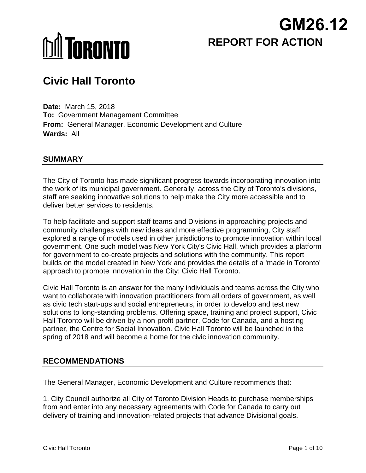## **REPORT FOR ACTION GM26.12**

# **MI TORONTO**

### **Civic Hall Toronto**

**Date:** March 15, 2018 **To:** Government Management Committee **From:** General Manager, Economic Development and Culture **Wards:** All

#### **SUMMARY**

The City of Toronto has made significant progress towards incorporating innovation into the work of its municipal government. Generally, across the City of Toronto's divisions, staff are seeking innovative solutions to help make the City more accessible and to deliver better services to residents.

To help facilitate and support staff teams and Divisions in approaching projects and community challenges with new ideas and more effective programming, City staff explored a range of models used in other jurisdictions to promote innovation within local government. One such model was New York City's Civic Hall, which provides a platform for government to co-create projects and solutions with the community. This report builds on the model created in New York and provides the details of a 'made in Toronto' approach to promote innovation in the City: Civic Hall Toronto.

Civic Hall Toronto is an answer for the many individuals and teams across the City who want to collaborate with innovation practitioners from all orders of government, as well as civic tech start-ups and social entrepreneurs, in order to develop and test new solutions to long-standing problems. Offering space, training and project support, Civic Hall Toronto will be driven by a non-profit partner, Code for Canada, and a hosting partner, the Centre for Social Innovation. Civic Hall Toronto will be launched in the spring of 2018 and will become a home for the civic innovation community.

#### **RECOMMENDATIONS**

The General Manager, Economic Development and Culture recommends that:

1. City Council authorize all City of Toronto Division Heads to purchase memberships from and enter into any necessary agreements with Code for Canada to carry out delivery of training and innovation-related projects that advance Divisional goals.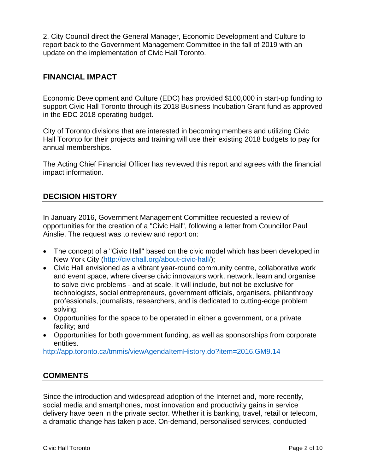2. City Council direct the General Manager, Economic Development and Culture to report back to the Government Management Committee in the fall of 2019 with an update on the implementation of Civic Hall Toronto.

#### **FINANCIAL IMPACT**

Economic Development and Culture (EDC) has provided \$100,000 in start-up funding to support Civic Hall Toronto through its 2018 Business Incubation Grant fund as approved in the EDC 2018 operating budget.

City of Toronto divisions that are interested in becoming members and utilizing Civic Hall Toronto for their projects and training will use their existing 2018 budgets to pay for annual memberships.

The Acting Chief Financial Officer has reviewed this report and agrees with the financial impact information.

#### **DECISION HISTORY**

In January 2016, Government Management Committee requested a review of opportunities for the creation of a "Civic Hall", following a letter from Councillor Paul Ainslie. The request was to review and report on:

- The concept of a "Civic Hall" based on the civic model which has been developed in New York City [\(http://civichall.org/about-civic-hall/\)](http://civichall.org/about-civic-hall/);
- Civic Hall envisioned as a vibrant year-round community centre, collaborative work and event space, where diverse civic innovators work, network, learn and organise to solve civic problems - and at scale. It will include, but not be exclusive for technologists, social entrepreneurs, government officials, organisers, philanthropy professionals, journalists, researchers, and is dedicated to cutting-edge problem solving;
- Opportunities for the space to be operated in either a government, or a private facility; and
- Opportunities for both government funding, as well as sponsorships from corporate entities.

<http://app.toronto.ca/tmmis/viewAgendaItemHistory.do?item=2016.GM9.14>

#### **COMMENTS**

Since the introduction and widespread adoption of the Internet and, more recently, social media and smartphones, most innovation and productivity gains in service delivery have been in the private sector. Whether it is banking, travel, retail or telecom, a dramatic change has taken place. On-demand, personalised services, conducted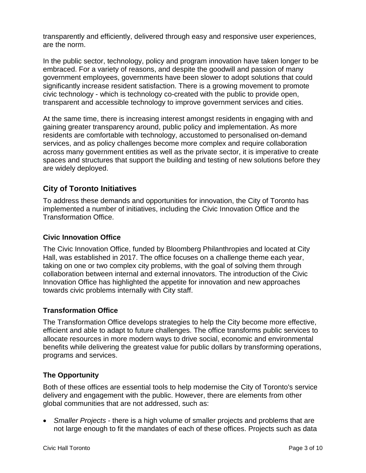transparently and efficiently, delivered through easy and responsive user experiences, are the norm.

In the public sector, technology, policy and program innovation have taken longer to be embraced. For a variety of reasons, and despite the goodwill and passion of many government employees, governments have been slower to adopt solutions that could significantly increase resident satisfaction. There is a growing movement to promote civic technology - which is technology co-created with the public to provide open, transparent and accessible technology to improve government services and cities.

At the same time, there is increasing interest amongst residents in engaging with and gaining greater transparency around, public policy and implementation. As more residents are comfortable with technology, accustomed to personalised on-demand services, and as policy challenges become more complex and require collaboration across many government entities as well as the private sector, it is imperative to create spaces and structures that support the building and testing of new solutions before they are widely deployed.

#### **City of Toronto Initiatives**

To address these demands and opportunities for innovation, the City of Toronto has implemented a number of initiatives, including the Civic Innovation Office and the Transformation Office.

#### **Civic Innovation Office**

The Civic Innovation Office, funded by Bloomberg Philanthropies and located at City Hall, was established in 2017. The office focuses on a challenge theme each year, taking on one or two complex city problems, with the goal of solving them through collaboration between internal and external innovators. The introduction of the Civic Innovation Office has highlighted the appetite for innovation and new approaches towards civic problems internally with City staff.

#### **Transformation Office**

The Transformation Office develops strategies to help the City become more effective, efficient and able to adapt to future challenges. The office transforms public services to allocate resources in more modern ways to drive social, economic and environmental benefits while delivering the greatest value for public dollars by transforming operations, programs and services.

#### **The Opportunity**

Both of these offices are essential tools to help modernise the City of Toronto's service delivery and engagement with the public. However, there are elements from other global communities that are not addressed, such as:

• *Smaller Projects* - there is a high volume of smaller projects and problems that are not large enough to fit the mandates of each of these offices. Projects such as data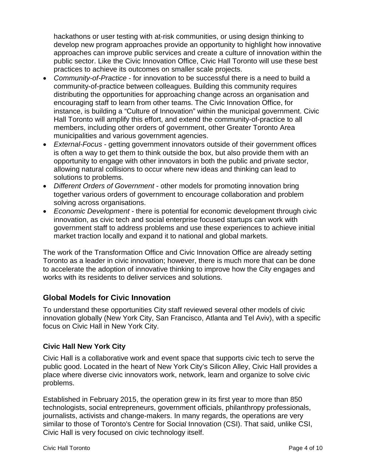hackathons or user testing with at-risk communities, or using design thinking to develop new program approaches provide an opportunity to highlight how innovative approaches can improve public services and create a culture of innovation within the public sector. Like the Civic Innovation Office, Civic Hall Toronto will use these best practices to achieve its outcomes on smaller scale projects.

- *Community-of-Practice* for innovation to be successful there is a need to build a community-of-practice between colleagues. Building this community requires distributing the opportunities for approaching change across an organisation and encouraging staff to learn from other teams. The Civic Innovation Office, for instance, is building a "Culture of Innovation" within the municipal government. Civic Hall Toronto will amplify this effort, and extend the community-of-practice to all members, including other orders of government, other Greater Toronto Area municipalities and various government agencies.
- *External-Focus* getting government innovators outside of their government offices is often a way to get them to think outside the box, but also provide them with an opportunity to engage with other innovators in both the public and private sector, allowing natural collisions to occur where new ideas and thinking can lead to solutions to problems.
- *Different Orders of Government* other models for promoting innovation bring together various orders of government to encourage collaboration and problem solving across organisations.
- *Economic Development* there is potential for economic development through civic innovation, as civic tech and social enterprise focused startups can work with government staff to address problems and use these experiences to achieve initial market traction locally and expand it to national and global markets.

The work of the Transformation Office and Civic Innovation Office are already setting Toronto as a leader in civic innovation; however, there is much more that can be done to accelerate the adoption of innovative thinking to improve how the City engages and works with its residents to deliver services and solutions.

#### **Global Models for Civic Innovation**

To understand these opportunities City staff reviewed several other models of civic innovation globally (New York City, San Francisco, Atlanta and Tel Aviv), with a specific focus on Civic Hall in New York City.

#### **Civic Hall New York City**

Civic Hall is a collaborative work and event space that supports civic tech to serve the public good. Located in the heart of New York City's Silicon Alley, Civic Hall provides a place where diverse civic innovators work, network, learn and organize to solve civic problems.

Established in February 2015, the operation grew in its first year to more than 850 technologists, social entrepreneurs, government officials, philanthropy professionals, journalists, activists and change-makers. In many regards, the operations are very similar to those of Toronto's Centre for Social Innovation (CSI). That said, unlike CSI, Civic Hall is very focused on civic technology itself.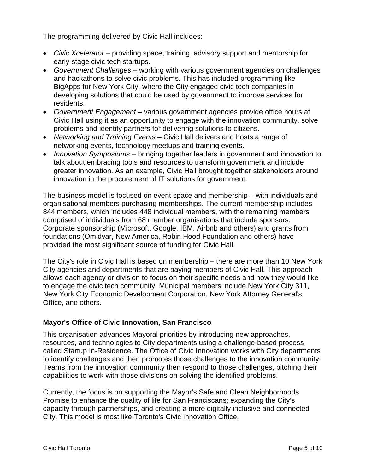The programming delivered by Civic Hall includes:

- *Civic Xcelerator* providing space, training, advisory support and mentorship for early-stage civic tech startups.
- *Government Challenges* working with various government agencies on challenges and hackathons to solve civic problems. This has included programming like BigApps for New York City, where the City engaged civic tech companies in developing solutions that could be used by government to improve services for residents.
- *Government Engagement* various government agencies provide office hours at Civic Hall using it as an opportunity to engage with the innovation community, solve problems and identify partners for delivering solutions to citizens.
- *Networking and Training Events* Civic Hall delivers and hosts a range of networking events, technology meetups and training events.
- *Innovation Symposiums* bringing together leaders in government and innovation to talk about embracing tools and resources to transform government and include greater innovation. As an example, Civic Hall brought together stakeholders around innovation in the procurement of IT solutions for government.

The business model is focused on event space and membership – with individuals and organisational members purchasing memberships. The current membership includes 844 members, which includes 448 individual members, with the remaining members comprised of individuals from 68 member organisations that include sponsors. Corporate sponsorship (Microsoft, Google, IBM, Airbnb and others) and grants from foundations (Omidyar, New America, Robin Hood Foundation and others) have provided the most significant source of funding for Civic Hall.

The City's role in Civic Hall is based on membership – there are more than 10 New York City agencies and departments that are paying members of Civic Hall. This approach allows each agency or division to focus on their specific needs and how they would like to engage the civic tech community. Municipal members include New York City 311, New York City Economic Development Corporation, New York Attorney General's Office, and others.

#### **Mayor's Office of Civic Innovation, San Francisco**

This organisation advances Mayoral priorities by introducing new approaches, resources, and technologies to City departments using a challenge-based process called Startup In-Residence. The Office of Civic Innovation works with City departments to identify challenges and then promotes those challenges to the innovation community. Teams from the innovation community then respond to those challenges, pitching their capabilities to work with those divisions on solving the identified problems.

Currently, the focus is on supporting the Mayor's Safe and Clean Neighborhoods Promise to enhance the quality of life for San Franciscans; expanding the City's capacity through partnerships, and creating a more digitally inclusive and connected City. This model is most like Toronto's Civic Innovation Office.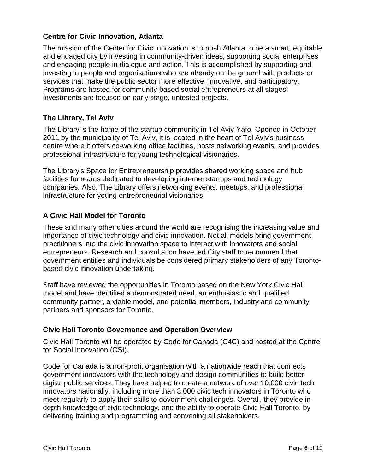#### **Centre for Civic Innovation, Atlanta**

The mission of the Center for Civic Innovation is to push Atlanta to be a smart, equitable and engaged city by investing in community-driven ideas, supporting social enterprises and engaging people in dialogue and action. This is accomplished by supporting and investing in people and organisations who are already on the ground with products or services that make the public sector more effective, innovative, and participatory. Programs are hosted for community-based social entrepreneurs at all stages; investments are focused on early stage, untested projects.

#### **The Library, Tel Aviv**

The Library is the home of the startup community in Tel Aviv-Yafo. Opened in October 2011 by the municipality of Tel Aviv, it is located in the heart of Tel Aviv's business centre where it offers co-working office facilities, hosts networking events, and provides professional infrastructure for young technological visionaries[.](http://www.thelibrary.co.il/about.html)

The Library's Space for Entrepreneurship provides shared working space and hub facilities for teams dedicated to developing internet startups and technology companies. Also, The Library offers networking events, meetups, and professional infrastructure for young entrepreneurial visionaries.

#### **A Civic Hall Model for Toronto**

These and many other cities around the world are recognising the increasing value and importance of civic technology and civic innovation. Not all models bring government practitioners into the civic innovation space to interact with innovators and social entrepreneurs. Research and consultation have led City staff to recommend that government entities and individuals be considered primary stakeholders of any Torontobased civic innovation undertaking.

Staff have reviewed the opportunities in Toronto based on the New York Civic Hall model and have identified a demonstrated need, an enthusiastic and qualified community partner, a viable model, and potential members, industry and community partners and sponsors for Toronto.

#### **Civic Hall Toronto Governance and Operation Overview**

Civic Hall Toronto will be operated by Code for Canada (C4C) and hosted at the Centre for Social Innovation (CSI).

Code for Canada is a non-profit organisation with a nationwide reach that connects government innovators with the technology and design communities to build better digital public services. They have helped to create a network of over 10,000 civic tech innovators nationally, including more than 3,000 civic tech innovators in Toronto who meet regularly to apply their skills to government challenges. Overall, they provide indepth knowledge of civic technology, and the ability to operate Civic Hall Toronto, by delivering training and programming and convening all stakeholders.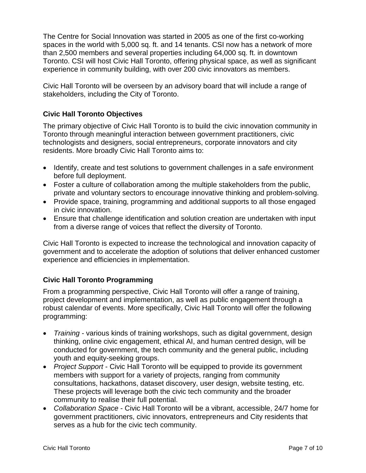The Centre for Social Innovation was started in 2005 as one of the first co-working spaces in the world with 5,000 sq. ft. and 14 tenants. CSI now has a network of more than 2,500 members and several properties including 64,000 sq. ft. in downtown Toronto. CSI will host Civic Hall Toronto, offering physical space, as well as significant experience in community building, with over 200 civic innovators as members.

Civic Hall Toronto will be overseen by an advisory board that will include a range of stakeholders, including the City of Toronto.

#### **Civic Hall Toronto Objectives**

The primary objective of Civic Hall Toronto is to build the civic innovation community in Toronto through meaningful interaction between government practitioners, civic technologists and designers, social entrepreneurs, corporate innovators and city residents. More broadly Civic Hall Toronto aims to:

- Identify, create and test solutions to government challenges in a safe environment before full deployment.
- Foster a culture of collaboration among the multiple stakeholders from the public, private and voluntary sectors to encourage innovative thinking and problem-solving.
- Provide space, training, programming and additional supports to all those engaged in civic innovation.
- Ensure that challenge identification and solution creation are undertaken with input from a diverse range of voices that reflect the diversity of Toronto.

Civic Hall Toronto is expected to increase the technological and innovation capacity of government and to accelerate the adoption of solutions that deliver enhanced customer experience and efficiencies in implementation.

#### **Civic Hall Toronto Programming**

From a programming perspective, Civic Hall Toronto will offer a range of training, project development and implementation, as well as public engagement through a robust calendar of events. More specifically, Civic Hall Toronto will offer the following programming:

- *Training* various kinds of training workshops, such as digital government, design thinking, online civic engagement, ethical AI, and human centred design, will be conducted for government, the tech community and the general public, including youth and equity-seeking groups.
- *Project Support* Civic Hall Toronto will be equipped to provide its government members with support for a variety of projects, ranging from community consultations, hackathons, dataset discovery, user design, website testing, etc. These projects will leverage both the civic tech community and the broader community to realise their full potential.
- *Collaboration Space* Civic Hall Toronto will be a vibrant, accessible, 24/7 home for government practitioners, civic innovators, entrepreneurs and City residents that serves as a hub for the civic tech community.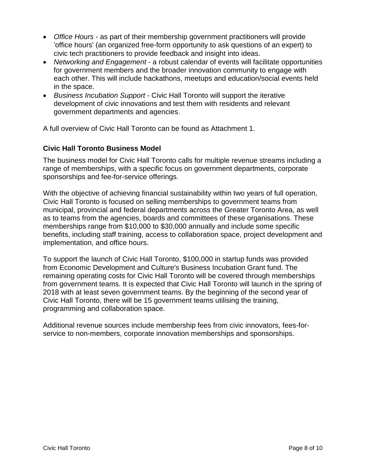- *Office Hours* as part of their membership government practitioners will provide 'office hours' (an organized free-form opportunity to ask questions of an expert) to civic tech practitioners to provide feedback and insight into ideas.
- *Networking and Engagement* a robust calendar of events will facilitate opportunities for government members and the broader innovation community to engage with each other. This will include hackathons, meetups and education/social events held in the space.
- *Business Incubation Support* Civic Hall Toronto will support the iterative development of civic innovations and test them with residents and relevant government departments and agencies.

A full overview of Civic Hall Toronto can be found as Attachment 1.

#### **Civic Hall Toronto Business Model**

The business model for Civic Hall Toronto calls for multiple revenue streams including a range of memberships, with a specific focus on government departments, corporate sponsorships and fee-for-service offerings.

With the objective of achieving financial sustainability within two years of full operation, Civic Hall Toronto is focused on selling memberships to government teams from municipal, provincial and federal departments across the Greater Toronto Area, as well as to teams from the agencies, boards and committees of these organisations. These memberships range from \$10,000 to \$30,000 annually and include some specific benefits, including staff training, access to collaboration space, project development and implementation, and office hours.

To support the launch of Civic Hall Toronto, \$100,000 in startup funds was provided from Economic Development and Culture's Business Incubation Grant fund. The remaining operating costs for Civic Hall Toronto will be covered through memberships from government teams. It is expected that Civic Hall Toronto will launch in the spring of 2018 with at least seven government teams. By the beginning of the second year of Civic Hall Toronto, there will be 15 government teams utilising the training, programming and collaboration space.

Additional revenue sources include membership fees from civic innovators, fees-forservice to non-members, corporate innovation memberships and sponsorships.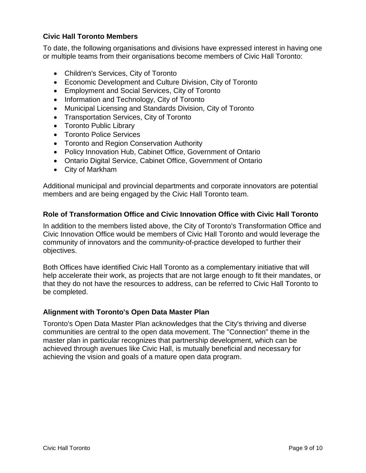#### **Civic Hall Toronto Members**

To date, the following organisations and divisions have expressed interest in having one or multiple teams from their organisations become members of Civic Hall Toronto:

- Children's Services, City of Toronto
- Economic Development and Culture Division, City of Toronto
- Employment and Social Services, City of Toronto
- Information and Technology, City of Toronto
- Municipal Licensing and Standards Division, City of Toronto
- Transportation Services, City of Toronto
- Toronto Public Library
- Toronto Police Services
- Toronto and Region Conservation Authority
- Policy Innovation Hub, Cabinet Office, Government of Ontario
- Ontario Digital Service, Cabinet Office, Government of Ontario
- City of Markham

Additional municipal and provincial departments and corporate innovators are potential members and are being engaged by the Civic Hall Toronto team.

#### **Role of Transformation Office and Civic Innovation Office with Civic Hall Toronto**

In addition to the members listed above, the City of Toronto's Transformation Office and Civic Innovation Office would be members of Civic Hall Toronto and would leverage the community of innovators and the community-of-practice developed to further their objectives.

Both Offices have identified Civic Hall Toronto as a complementary initiative that will help accelerate their work, as projects that are not large enough to fit their mandates, or that they do not have the resources to address, can be referred to Civic Hall Toronto to be completed.

#### **Alignment with Toronto's Open Data Master Plan**

Toronto's Open Data Master Plan acknowledges that the City's thriving and diverse communities are central to the open data movement. The "Connection" theme in the master plan in particular recognizes that partnership development, which can be achieved through avenues like Civic Hall, is mutually beneficial and necessary for achieving the vision and goals of a mature open data program.